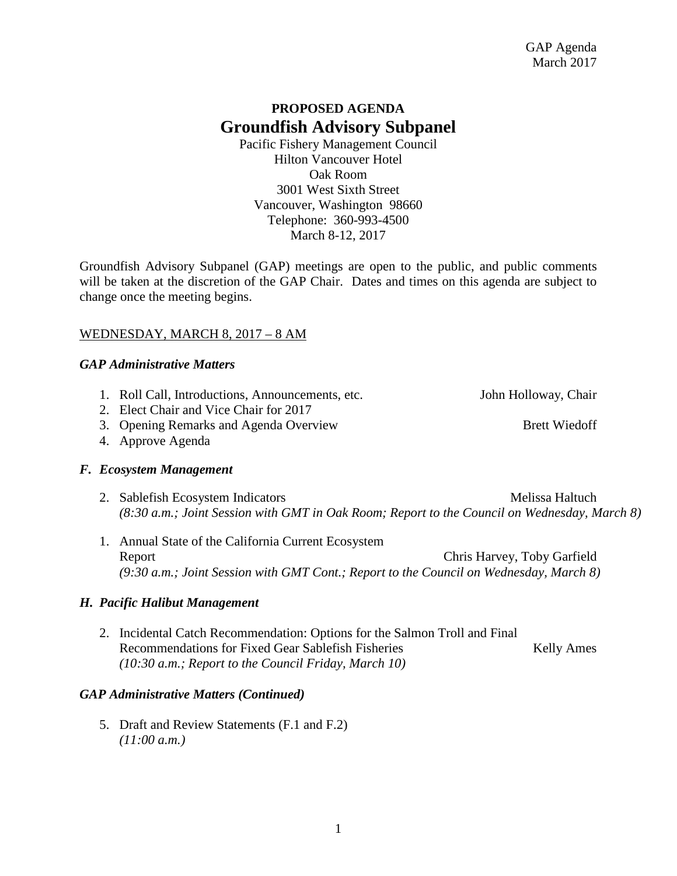# **PROPOSED AGENDA Groundfish Advisory Subpanel**

Pacific Fishery Management Council Hilton Vancouver Hotel Oak Room 3001 West Sixth Street Vancouver, Washington 98660 Telephone: 360-993-4500 March 8-12, 2017

Groundfish Advisory Subpanel (GAP) meetings are open to the public, and public comments will be taken at the discretion of the GAP Chair. Dates and times on this agenda are subject to change once the meeting begins.

# WEDNESDAY, MARCH 8, 2017 – 8 AM

# *GAP Administrative Matters*

- 1. Roll Call, Introductions, Announcements, etc. John Holloway, Chair
- 2. Elect Chair and Vice Chair for 2017
- 3. Opening Remarks and Agenda Overview Brett Wiedoff
- 4. Approve Agenda

# *F. Ecosystem Management*

- 2. Sablefish Ecosystem Indicators Melissa Haltuch *(8:30 a.m.; Joint Session with GMT in Oak Room; Report to the Council on Wednesday, March 8)*
- 1. Annual State of the California Current Ecosystem Report Chris Harvey, Toby Garfield *(9:30 a.m.; Joint Session with GMT Cont.; Report to the Council on Wednesday, March 8)*

# *H. Pacific Halibut Management*

2. Incidental Catch Recommendation: Options for the Salmon Troll and Final Recommendations for Fixed Gear Sablefish Fisheries Kelly Ames *(10:30 a.m.; Report to the Council Friday, March 10)*

# *GAP Administrative Matters (Continued)*

5. Draft and Review Statements (F.1 and F.2) *(11:00 a.m.)*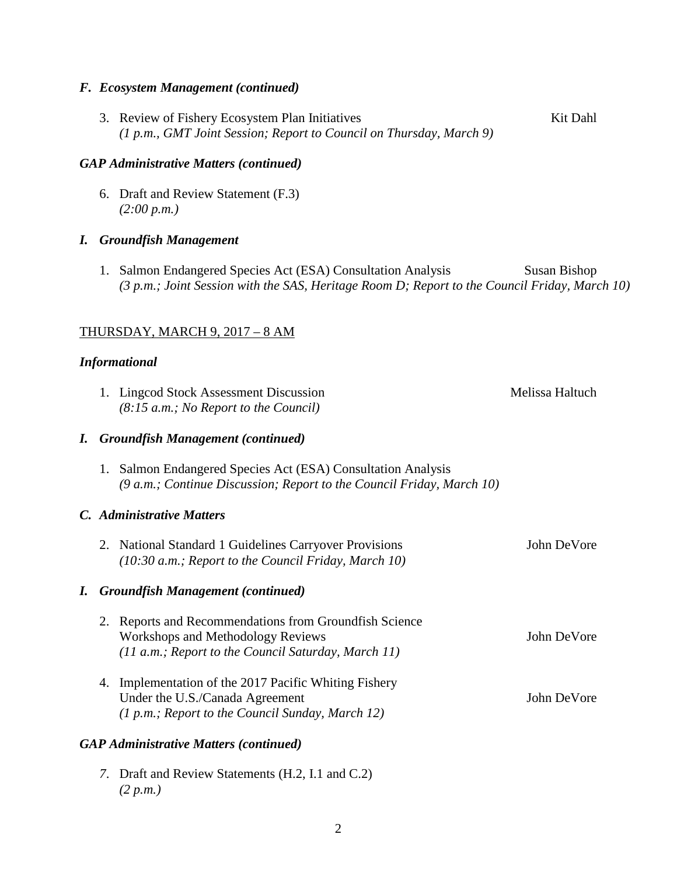#### *F. Ecosystem Management (continued)*

3. Review of Fishery Ecosystem Plan Initiatives Kit Dahl *(1 p.m., GMT Joint Session; Report to Council on Thursday, March 9)*

#### *GAP Administrative Matters (continued)*

6. Draft and Review Statement (F.3) *(2:00 p.m.)*

### *I. Groundfish Management*

1. Salmon Endangered Species Act (ESA) Consultation Analysis Susan Bishop *(3 p.m.; Joint Session with the SAS, Heritage Room D; Report to the Council Friday, March 10)*

### THURSDAY, MARCH 9, 2017 – 8 AM

#### *Informational*

|                                               |                           | 1. Lingcod Stock Assessment Discussion<br>(8:15 a.m.; No Report to the Council)                                                                             | Melissa Haltuch |
|-----------------------------------------------|---------------------------|-------------------------------------------------------------------------------------------------------------------------------------------------------------|-----------------|
|                                               |                           | I. Groundfish Management (continued)                                                                                                                        |                 |
|                                               | 1.                        | Salmon Endangered Species Act (ESA) Consultation Analysis<br>(9 a.m.; Continue Discussion; Report to the Council Friday, March 10)                          |                 |
|                                               | C. Administrative Matters |                                                                                                                                                             |                 |
|                                               |                           | 2. National Standard 1 Guidelines Carryover Provisions<br>$(10:30 a.m.;$ Report to the Council Friday, March 10)                                            | John DeVore     |
|                                               |                           | I. Groundfish Management (continued)                                                                                                                        |                 |
|                                               |                           | 2. Reports and Recommendations from Groundfish Science<br><b>Workshops and Methodology Reviews</b><br>$(11 a.m.; Report to the Council Saturday, March 11)$ | John DeVore     |
|                                               | 4.                        | Implementation of the 2017 Pacific Whiting Fishery<br>Under the U.S./Canada Agreement<br>(1 p.m.; Report to the Council Sunday, March 12)                   | John DeVore     |
| <b>GAP Administrative Matters (continued)</b> |                           |                                                                                                                                                             |                 |
|                                               |                           | 7. Draft and Review Statements (H.2, I.1 and C.2)                                                                                                           |                 |

*(2 p.m.)*